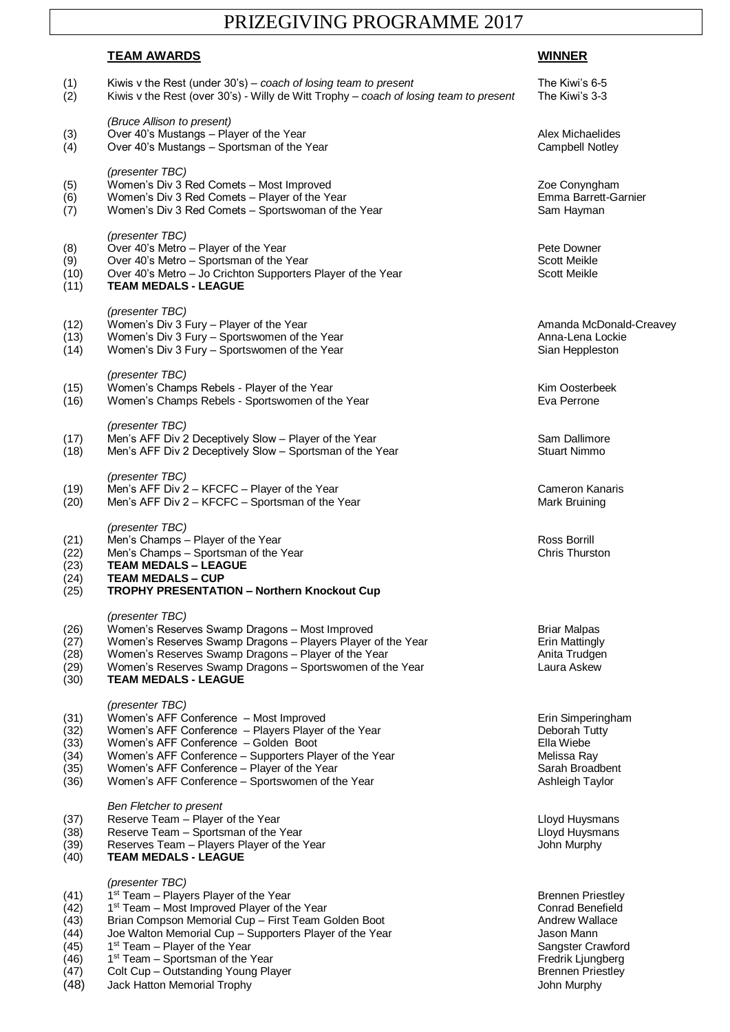## PRIZEGIVING PROGRAMME 2017

## **TEAM AWARDS WINNER**

| (1)<br>(2)                                                   | Kiwis v the Rest (under $30's$ ) – coach of losing team to present<br>Kiwis v the Rest (over 30's) - Willy de Witt Trophy - coach of losing team to present                                                                                                                                                                                                                                                          | The Kiwi's 6-5<br>The Kiwi's 3-3                                                                                                                                         |
|--------------------------------------------------------------|----------------------------------------------------------------------------------------------------------------------------------------------------------------------------------------------------------------------------------------------------------------------------------------------------------------------------------------------------------------------------------------------------------------------|--------------------------------------------------------------------------------------------------------------------------------------------------------------------------|
| (3)<br>(4)                                                   | (Bruce Allison to present)<br>Over 40's Mustangs - Player of the Year<br>Over 40's Mustangs - Sportsman of the Year                                                                                                                                                                                                                                                                                                  | Alex Michaelides<br><b>Campbell Notley</b>                                                                                                                               |
| (5)<br>(6)<br>(7)                                            | (presenter TBC)<br>Women's Div 3 Red Comets - Most Improved<br>Women's Div 3 Red Comets - Player of the Year<br>Women's Div 3 Red Comets - Sportswoman of the Year                                                                                                                                                                                                                                                   | Zoe Conyngham<br>Emma Barrett-Garnier<br>Sam Hayman                                                                                                                      |
| (8)<br>(9)<br>(10)<br>(11)                                   | (presenter TBC)<br>Over 40's Metro - Player of the Year<br>Over 40's Metro - Sportsman of the Year<br>Over 40's Metro - Jo Crichton Supporters Player of the Year<br><b>TEAM MEDALS - LEAGUE</b>                                                                                                                                                                                                                     | Pete Downer<br>Scott Meikle<br>Scott Meikle                                                                                                                              |
| (12)<br>(13)<br>(14)                                         | (presenter TBC)<br>Women's Div 3 Fury - Player of the Year<br>Women's Div 3 Fury - Sportswomen of the Year<br>Women's Div 3 Fury - Sportswomen of the Year                                                                                                                                                                                                                                                           | Amanda McDonald-Creavey<br>Anna-Lena Lockie<br>Sian Heppleston                                                                                                           |
| (15)<br>(16)                                                 | (presenter TBC)<br>Women's Champs Rebels - Player of the Year<br>Women's Champs Rebels - Sportswomen of the Year                                                                                                                                                                                                                                                                                                     | Kim Oosterbeek<br>Eva Perrone                                                                                                                                            |
| (17)<br>(18)                                                 | (presenter TBC)<br>Men's AFF Div 2 Deceptively Slow - Player of the Year<br>Men's AFF Div 2 Deceptively Slow - Sportsman of the Year                                                                                                                                                                                                                                                                                 | Sam Dallimore<br><b>Stuart Nimmo</b>                                                                                                                                     |
| (19)<br>(20)                                                 | (presenter TBC)<br>Men's AFF Div 2 - KFCFC - Player of the Year<br>Men's AFF Div 2 - KFCFC - Sportsman of the Year                                                                                                                                                                                                                                                                                                   | <b>Cameron Kanaris</b><br>Mark Bruining                                                                                                                                  |
| (21)<br>(22)<br>(23)<br>(24)<br>(25)                         | (presenter TBC)<br>Men's Champs - Player of the Year<br>Men's Champs - Sportsman of the Year<br><b>TEAM MEDALS - LEAGUE</b><br><b>TEAM MEDALS - CUP</b><br><b>TROPHY PRESENTATION - Northern Knockout Cup</b>                                                                                                                                                                                                        | Ross Borrill<br><b>Chris Thurston</b>                                                                                                                                    |
| (26)<br>(27)<br>(28)<br>(29)<br>(30)                         | (presenter TBC)<br>Women's Reserves Swamp Dragons - Most Improved<br>Women's Reserves Swamp Dragons - Players Player of the Year<br>Women's Reserves Swamp Dragons - Player of the Year<br>Women's Reserves Swamp Dragons - Sportswomen of the Year<br><b>TEAM MEDALS - LEAGUE</b>                                                                                                                                   | <b>Briar Malpas</b><br><b>Erin Mattingly</b><br>Anita Trudgen<br>Laura Askew                                                                                             |
| (31)<br>(32)<br>(33)<br>(34)<br>(35)<br>(36)                 | (presenter TBC)<br>Women's AFF Conference - Most Improved<br>Women's AFF Conference - Players Player of the Year<br>Women's AFF Conference - Golden Boot<br>Women's AFF Conference - Supporters Player of the Year<br>Women's AFF Conference - Player of the Year<br>Women's AFF Conference - Sportswomen of the Year                                                                                                | Erin Simperingham<br>Deborah Tutty<br>Ella Wiebe<br>Melissa Ray<br>Sarah Broadbent<br>Ashleigh Taylor                                                                    |
| (37)<br>(38)<br>(39)<br>(40)                                 | <b>Ben Fletcher to present</b><br>Reserve Team - Player of the Year<br>Reserve Team - Sportsman of the Year<br>Reserves Team - Players Player of the Year<br><b>TEAM MEDALS - LEAGUE</b>                                                                                                                                                                                                                             | Lloyd Huysmans<br>Lloyd Huysmans<br>John Murphy                                                                                                                          |
| (41)<br>(42)<br>(43)<br>(44)<br>(45)<br>(46)<br>(47)<br>(48) | (presenter TBC)<br>1 <sup>st</sup> Team - Players Player of the Year<br>1 <sup>st</sup> Team - Most Improved Player of the Year<br>Brian Compson Memorial Cup - First Team Golden Boot<br>Joe Walton Memorial Cup - Supporters Player of the Year<br>1 <sup>st</sup> Team - Player of the Year<br>1 <sup>st</sup> Team - Sportsman of the Year<br>Colt Cup - Outstanding Young Player<br>Jack Hatton Memorial Trophy | <b>Brennen Priestley</b><br>Conrad Benefield<br><b>Andrew Wallace</b><br>Jason Mann<br>Sangster Crawford<br>Fredrik Ljungberg<br><b>Brennen Priestley</b><br>John Murphy |